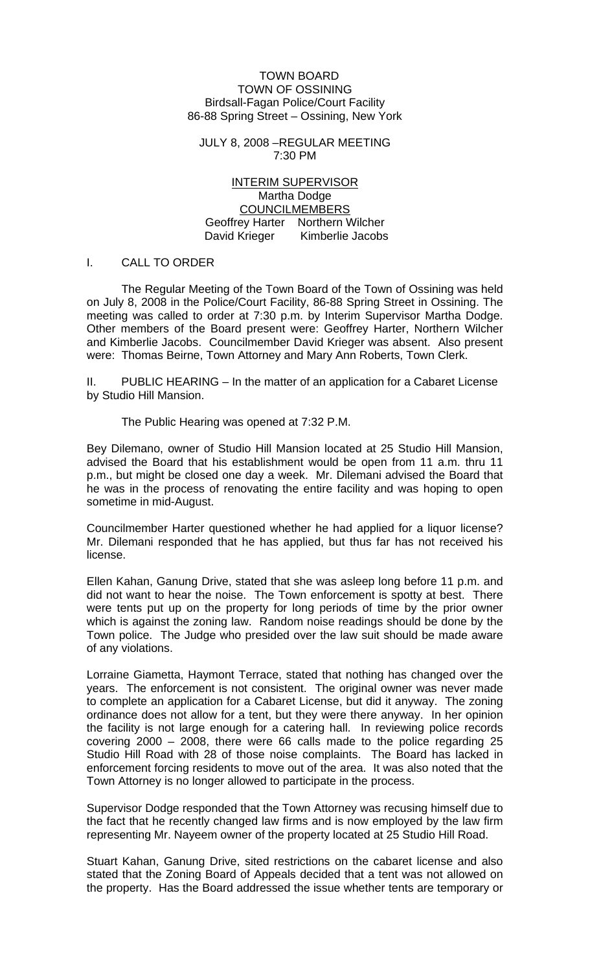### TOWN BOARD TOWN OF OSSINING Birdsall-Fagan Police/Court Facility 86-88 Spring Street – Ossining, New York

JULY 8, 2008 –REGULAR MEETING 7:30 PM

INTERIM SUPERVISOR Martha Dodge COUNCILMEMBERS Geoffrey Harter Northern Wilcher David Krieger Kimberlie Jacobs

#### I. CALL TO ORDER

 The Regular Meeting of the Town Board of the Town of Ossining was held on July 8, 2008 in the Police/Court Facility, 86-88 Spring Street in Ossining. The meeting was called to order at 7:30 p.m. by Interim Supervisor Martha Dodge. Other members of the Board present were: Geoffrey Harter, Northern Wilcher and Kimberlie Jacobs. Councilmember David Krieger was absent. Also present were: Thomas Beirne, Town Attorney and Mary Ann Roberts, Town Clerk.

II. PUBLIC HEARING – In the matter of an application for a Cabaret License by Studio Hill Mansion.

The Public Hearing was opened at 7:32 P.M.

Bey Dilemano, owner of Studio Hill Mansion located at 25 Studio Hill Mansion, advised the Board that his establishment would be open from 11 a.m. thru 11 p.m., but might be closed one day a week. Mr. Dilemani advised the Board that he was in the process of renovating the entire facility and was hoping to open sometime in mid-August.

Councilmember Harter questioned whether he had applied for a liquor license? Mr. Dilemani responded that he has applied, but thus far has not received his license.

Ellen Kahan, Ganung Drive, stated that she was asleep long before 11 p.m. and did not want to hear the noise. The Town enforcement is spotty at best. There were tents put up on the property for long periods of time by the prior owner which is against the zoning law. Random noise readings should be done by the Town police. The Judge who presided over the law suit should be made aware of any violations.

Lorraine Giametta, Haymont Terrace, stated that nothing has changed over the years. The enforcement is not consistent. The original owner was never made to complete an application for a Cabaret License, but did it anyway. The zoning ordinance does not allow for a tent, but they were there anyway. In her opinion the facility is not large enough for a catering hall. In reviewing police records covering 2000 – 2008, there were 66 calls made to the police regarding 25 Studio Hill Road with 28 of those noise complaints. The Board has lacked in enforcement forcing residents to move out of the area. It was also noted that the Town Attorney is no longer allowed to participate in the process.

Supervisor Dodge responded that the Town Attorney was recusing himself due to the fact that he recently changed law firms and is now employed by the law firm representing Mr. Nayeem owner of the property located at 25 Studio Hill Road.

Stuart Kahan, Ganung Drive, sited restrictions on the cabaret license and also stated that the Zoning Board of Appeals decided that a tent was not allowed on the property. Has the Board addressed the issue whether tents are temporary or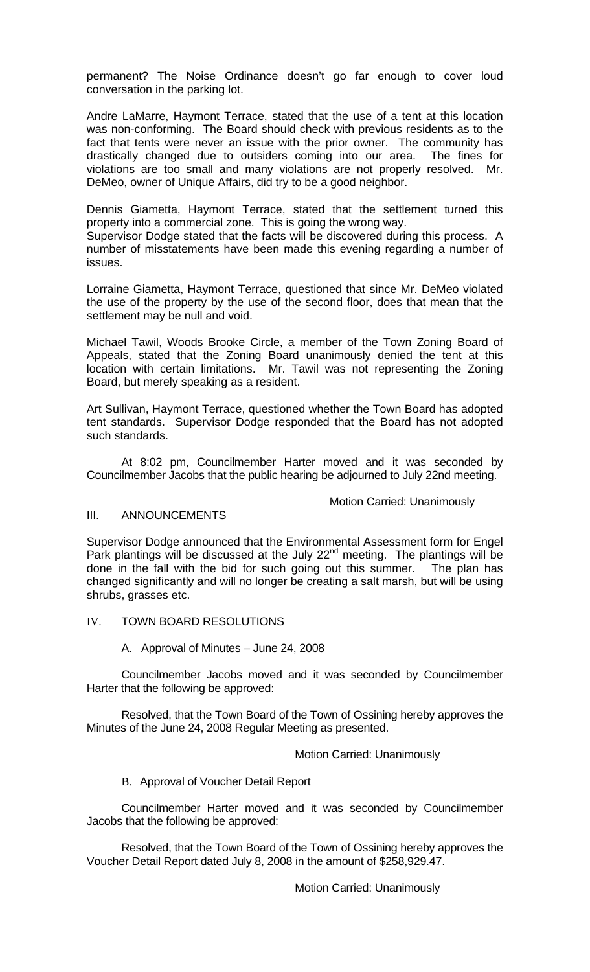permanent? The Noise Ordinance doesn't go far enough to cover loud conversation in the parking lot.

Andre LaMarre, Haymont Terrace, stated that the use of a tent at this location was non-conforming. The Board should check with previous residents as to the fact that tents were never an issue with the prior owner. The community has drastically changed due to outsiders coming into our area. The fines for violations are too small and many violations are not properly resolved. Mr. DeMeo, owner of Unique Affairs, did try to be a good neighbor.

Dennis Giametta, Haymont Terrace, stated that the settlement turned this property into a commercial zone. This is going the wrong way.

Supervisor Dodge stated that the facts will be discovered during this process. A number of misstatements have been made this evening regarding a number of issues.

Lorraine Giametta, Haymont Terrace, questioned that since Mr. DeMeo violated the use of the property by the use of the second floor, does that mean that the settlement may be null and void.

Michael Tawil, Woods Brooke Circle, a member of the Town Zoning Board of Appeals, stated that the Zoning Board unanimously denied the tent at this location with certain limitations. Mr. Tawil was not representing the Zoning Board, but merely speaking as a resident.

Art Sullivan, Haymont Terrace, questioned whether the Town Board has adopted tent standards. Supervisor Dodge responded that the Board has not adopted such standards.

At 8:02 pm, Councilmember Harter moved and it was seconded by Councilmember Jacobs that the public hearing be adjourned to July 22nd meeting.

### Motion Carried: Unanimously

## III. ANNOUNCEMENTS

Supervisor Dodge announced that the Environmental Assessment form for Engel Park plantings will be discussed at the July  $22<sup>nd</sup>$  meeting. The plantings will be done in the fall with the bid for such going out this summer. The plan has changed significantly and will no longer be creating a salt marsh, but will be using shrubs, grasses etc.

### IV. TOWN BOARD RESOLUTIONS

### A. Approval of Minutes – June 24, 2008

Councilmember Jacobs moved and it was seconded by Councilmember Harter that the following be approved:

Resolved, that the Town Board of the Town of Ossining hereby approves the Minutes of the June 24, 2008 Regular Meeting as presented.

#### Motion Carried: Unanimously

### B. Approval of Voucher Detail Report

Councilmember Harter moved and it was seconded by Councilmember Jacobs that the following be approved:

Resolved, that the Town Board of the Town of Ossining hereby approves the Voucher Detail Report dated July 8, 2008 in the amount of \$258,929.47.

Motion Carried: Unanimously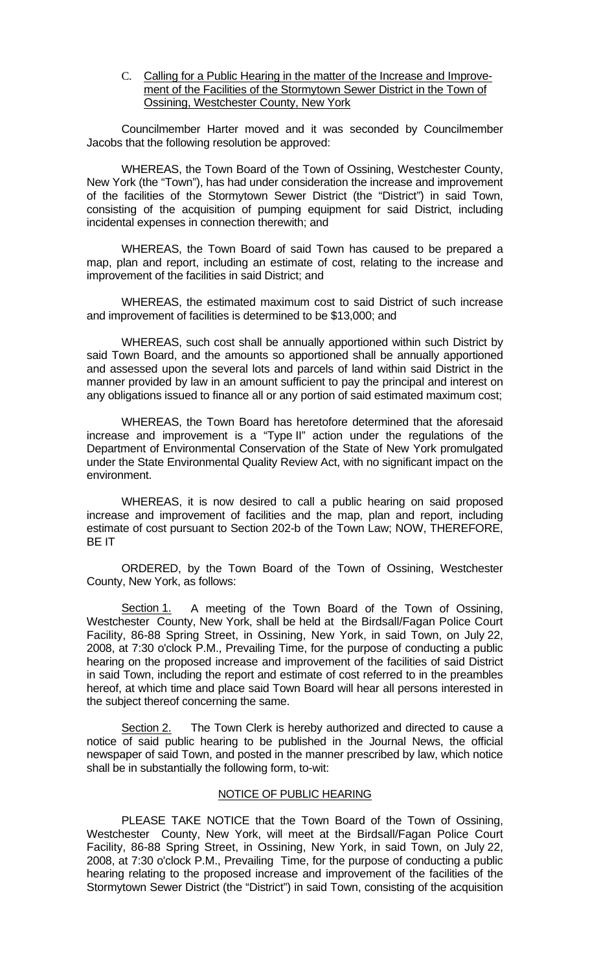C. Calling for a Public Hearing in the matter of the Increase and Improvement of the Facilities of the Stormytown Sewer District in the Town of Ossining, Westchester County, New York

 Councilmember Harter moved and it was seconded by Councilmember Jacobs that the following resolution be approved:

WHEREAS, the Town Board of the Town of Ossining, Westchester County, New York (the "Town"), has had under consideration the increase and improvement of the facilities of the Stormytown Sewer District (the "District") in said Town, consisting of the acquisition of pumping equipment for said District, including incidental expenses in connection therewith; and

WHEREAS, the Town Board of said Town has caused to be prepared a map, plan and report, including an estimate of cost, relating to the increase and improvement of the facilities in said District; and

WHEREAS, the estimated maximum cost to said District of such increase and improvement of facilities is determined to be \$13,000; and

WHEREAS, such cost shall be annually apportioned within such District by said Town Board, and the amounts so apportioned shall be annually apportioned and assessed upon the several lots and parcels of land within said District in the manner provided by law in an amount sufficient to pay the principal and interest on any obligations issued to finance all or any portion of said estimated maximum cost;

WHEREAS, the Town Board has heretofore determined that the aforesaid increase and improvement is a "Type II" action under the regulations of the Department of Environmental Conservation of the State of New York promulgated under the State Environmental Quality Review Act, with no significant impact on the environment.

WHEREAS, it is now desired to call a public hearing on said proposed increase and improvement of facilities and the map, plan and report, including estimate of cost pursuant to Section 202-b of the Town Law; NOW, THEREFORE, BE IT

ORDERED, by the Town Board of the Town of Ossining, Westchester County, New York, as follows:

Section 1. A meeting of the Town Board of the Town of Ossining, Westchester County, New York, shall be held at the Birdsall/Fagan Police Court Facility, 86-88 Spring Street, in Ossining, New York, in said Town, on July 22, 2008, at 7:30 o'clock P.M., Prevailing Time, for the purpose of conducting a public hearing on the proposed increase and improvement of the facilities of said District in said Town, including the report and estimate of cost referred to in the preambles hereof, at which time and place said Town Board will hear all persons interested in the subject thereof concerning the same.

Section 2. The Town Clerk is hereby authorized and directed to cause a notice of said public hearing to be published in the Journal News, the official newspaper of said Town, and posted in the manner prescribed by law, which notice shall be in substantially the following form, to-wit:

# NOTICE OF PUBLIC HEARING

PLEASE TAKE NOTICE that the Town Board of the Town of Ossining, Westchester County, New York, will meet at the Birdsall/Fagan Police Court Facility, 86-88 Spring Street, in Ossining, New York, in said Town, on July 22, 2008, at 7:30 o'clock P.M., Prevailing Time, for the purpose of conducting a public hearing relating to the proposed increase and improvement of the facilities of the Stormytown Sewer District (the "District") in said Town, consisting of the acquisition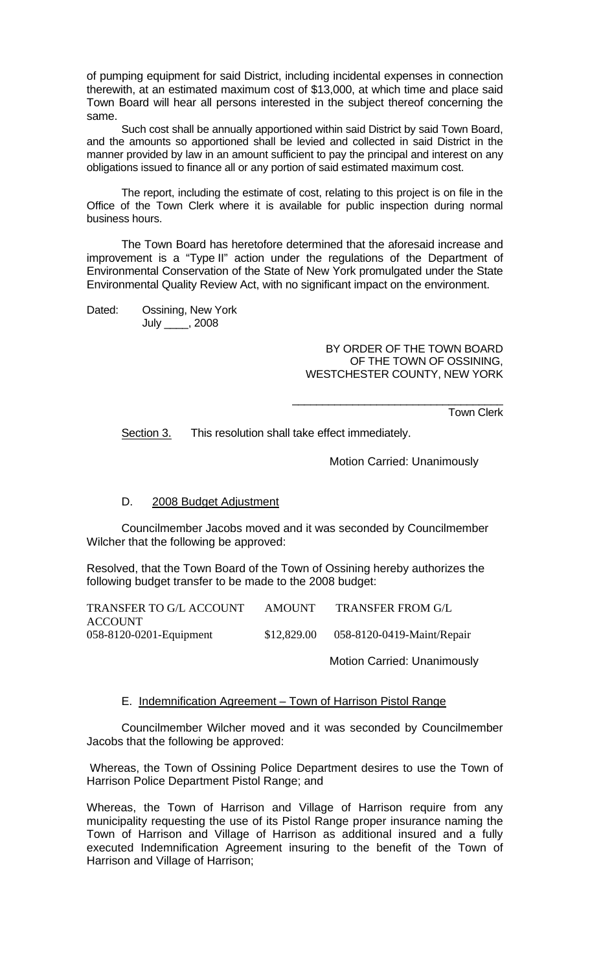of pumping equipment for said District, including incidental expenses in connection therewith, at an estimated maximum cost of \$13,000, at which time and place said Town Board will hear all persons interested in the subject thereof concerning the same.

Such cost shall be annually apportioned within said District by said Town Board, and the amounts so apportioned shall be levied and collected in said District in the manner provided by law in an amount sufficient to pay the principal and interest on any obligations issued to finance all or any portion of said estimated maximum cost.

The report, including the estimate of cost, relating to this project is on file in the Office of the Town Clerk where it is available for public inspection during normal business hours.

The Town Board has heretofore determined that the aforesaid increase and improvement is a "Type II" action under the regulations of the Department of Environmental Conservation of the State of New York promulgated under the State Environmental Quality Review Act, with no significant impact on the environment.

Dated: Ossining, New York

July \_\_\_\_, 2008

BY ORDER OF THE TOWN BOARD OF THE TOWN OF OSSINING, WESTCHESTER COUNTY, NEW YORK

\_\_\_\_\_\_\_\_\_\_\_\_\_\_\_\_\_\_\_\_\_\_\_\_\_\_\_\_\_\_\_\_\_\_\_

Town Clerk

Section 3. This resolution shall take effect immediately.

Motion Carried: Unanimously

# D. 2008 Budget Adjustment

 Councilmember Jacobs moved and it was seconded by Councilmember Wilcher that the following be approved:

Resolved, that the Town Board of the Town of Ossining hereby authorizes the following budget transfer to be made to the 2008 budget:

| <b>TRANSFER TO G/L ACCOUNT</b> | AMOUNT      | <b>TRANSFER FROM G/L</b>   |
|--------------------------------|-------------|----------------------------|
| <b>ACCOUNT</b>                 |             |                            |
| 058-8120-0201-Equipment        | \$12,829.00 | 058-8120-0419-Maint/Repair |
|                                |             |                            |

Motion Carried: Unanimously

# E. Indemnification Agreement – Town of Harrison Pistol Range

 Councilmember Wilcher moved and it was seconded by Councilmember Jacobs that the following be approved:

 Whereas, the Town of Ossining Police Department desires to use the Town of Harrison Police Department Pistol Range; and

Whereas, the Town of Harrison and Village of Harrison require from any municipality requesting the use of its Pistol Range proper insurance naming the Town of Harrison and Village of Harrison as additional insured and a fully executed Indemnification Agreement insuring to the benefit of the Town of Harrison and Village of Harrison;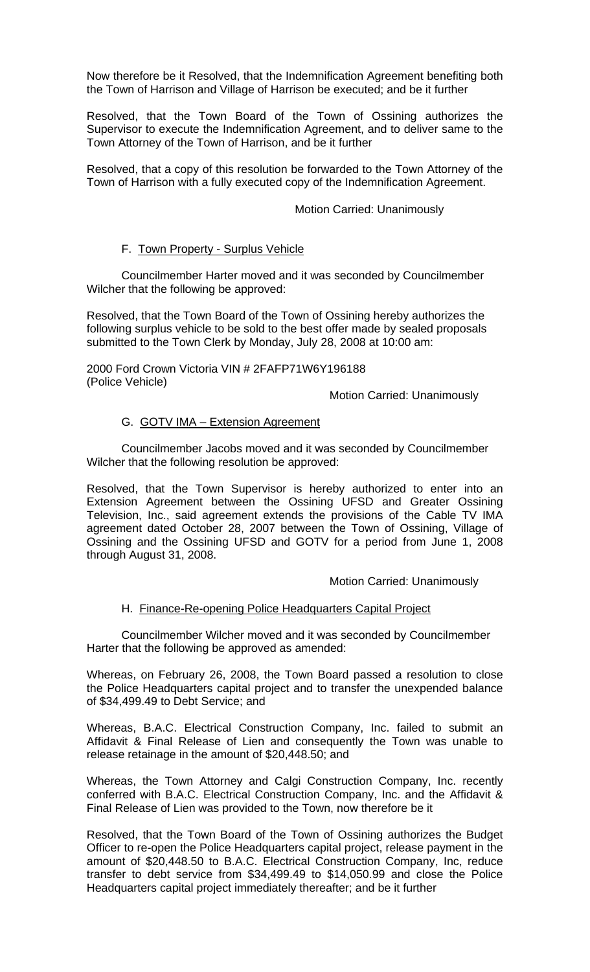Now therefore be it Resolved, that the Indemnification Agreement benefiting both the Town of Harrison and Village of Harrison be executed; and be it further

Resolved, that the Town Board of the Town of Ossining authorizes the Supervisor to execute the Indemnification Agreement, and to deliver same to the Town Attorney of the Town of Harrison, and be it further

Resolved, that a copy of this resolution be forwarded to the Town Attorney of the Town of Harrison with a fully executed copy of the Indemnification Agreement.

Motion Carried: Unanimously

### F. Town Property - Surplus Vehicle

 Councilmember Harter moved and it was seconded by Councilmember Wilcher that the following be approved:

Resolved, that the Town Board of the Town of Ossining hereby authorizes the following surplus vehicle to be sold to the best offer made by sealed proposals submitted to the Town Clerk by Monday, July 28, 2008 at 10:00 am:

2000 Ford Crown Victoria VIN # 2FAFP71W6Y196188 (Police Vehicle)

Motion Carried: Unanimously

## G. GOTV IMA – Extension Agreement

 Councilmember Jacobs moved and it was seconded by Councilmember Wilcher that the following resolution be approved:

Resolved, that the Town Supervisor is hereby authorized to enter into an Extension Agreement between the Ossining UFSD and Greater Ossining Television, Inc., said agreement extends the provisions of the Cable TV IMA agreement dated October 28, 2007 between the Town of Ossining, Village of Ossining and the Ossining UFSD and GOTV for a period from June 1, 2008 through August 31, 2008.

Motion Carried: Unanimously

### H. Finance-Re-opening Police Headquarters Capital Project

 Councilmember Wilcher moved and it was seconded by Councilmember Harter that the following be approved as amended:

Whereas, on February 26, 2008, the Town Board passed a resolution to close the Police Headquarters capital project and to transfer the unexpended balance of \$34,499.49 to Debt Service; and

Whereas, B.A.C. Electrical Construction Company, Inc. failed to submit an Affidavit & Final Release of Lien and consequently the Town was unable to release retainage in the amount of \$20,448.50; and

Whereas, the Town Attorney and Calgi Construction Company, Inc. recently conferred with B.A.C. Electrical Construction Company, Inc. and the Affidavit & Final Release of Lien was provided to the Town, now therefore be it

Resolved, that the Town Board of the Town of Ossining authorizes the Budget Officer to re-open the Police Headquarters capital project, release payment in the amount of \$20,448.50 to B.A.C. Electrical Construction Company, Inc, reduce transfer to debt service from \$34,499.49 to \$14,050.99 and close the Police Headquarters capital project immediately thereafter; and be it further